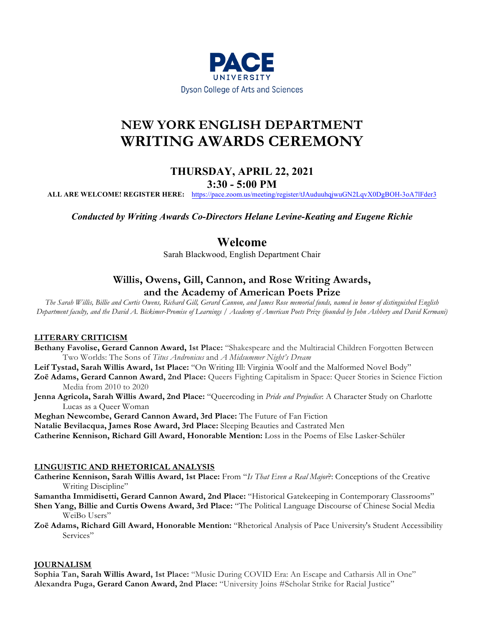

# **NEW YORK ENGLISH DEPARTMENT WRITING AWARDS CEREMONY**

# **THURSDAY, APRIL 22, 2021**

**3:30 - 5:00 PM**

**ALL ARE WELCOME! REGISTER HERE:** https://pace.zoom.us/meeting/register/tJAuduuhqjwuGN2LqvX0DgBOH-3oA7lFder3

*Conducted by Writing Awards Co-Directors Helane Levine-Keating and Eugene Richie*

## **Welcome**

Sarah Blackwood, English Department Chair

## **Willis, Owens, Gill, Cannon, and Rose Writing Awards, and the Academy of American Poets Prize**

*The Sarah Willis, Billie and Curtis Owens, Richard Gill, Gerard Cannon, and James Rose memorial funds, named in honor of distinguished English Department faculty, and the David A. Bickimer-Promise of Learnings / Academy of American Poets Prize (founded by John Ashbery and David Kermani)*

### **LITERARY CRITICISM**

**Bethany Favolise, Gerard Cannon Award, 1st Place:** "Shakespeare and the Multiracial Children Forgotten Between Two Worlds: The Sons of *Titus Andronicus* and *A Midsummer Night's Dream*

**Leif Tystad, Sarah Willis Award, 1st Place:** "On Writing Ill: Virginia Woolf and the Malformed Novel Body"

**Zoë Adams, Gerard Cannon Award, 2nd Place:** Queers Fighting Capitalism in Space: Queer Stories in Science Fiction Media from 2010 to 2020

**Jenna Agricola, Sarah Willis Award, 2nd Place:** "Queercoding in *Pride and Prejudice*: A Character Study on Charlotte Lucas as a Queer Woman

**Meghan Newcombe, Gerard Cannon Award, 3rd Place:** The Future of Fan Fiction

**Natalie Bevilacqua, James Rose Award, 3rd Place:** Sleeping Beauties and Castrated Men

**Catherine Kennison, Richard Gill Award, Honorable Mention:** Loss in the Poems of Else Lasker-Schüler

### **LINGUISTIC AND RHETORICAL ANALYSIS**

**Catherine Kennison, Sarah Willis Award, 1st Place:** From "*Is That Even a Real Major*?: Conceptions of the Creative Writing Discipline"

**Samantha Immidisetti, Gerard Cannon Award, 2nd Place:** "Historical Gatekeeping in Contemporary Classrooms"

- **Shen Yang, Billie and Curtis Owens Award, 3rd Place:** "The Political Language Discourse of Chinese Social Media WeiBo Users"
- **Zoë Adams, Richard Gill Award, Honorable Mention:** "Rhetorical Analysis of Pace University's Student Accessibility Services"

### **JOURNALISM**

**Sophia Tan, Sarah Willis Award, 1st Place:** "Music During COVID Era: An Escape and Catharsis All in One" **Alexandra Puga, Gerard Canon Award, 2nd Place:** "University Joins #Scholar Strike for Racial Justice"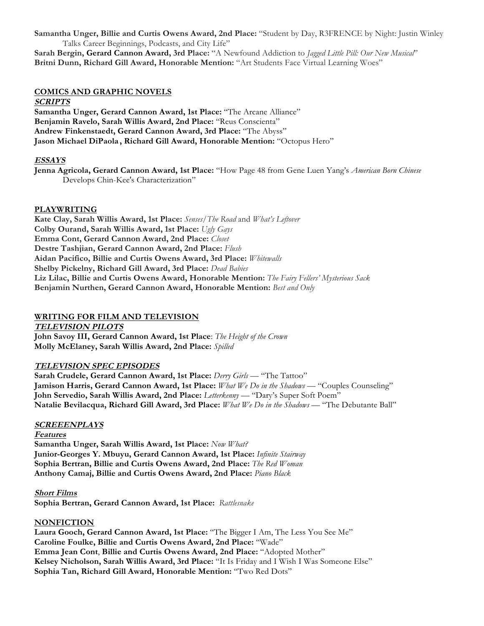**Samantha Unger, Billie and Curtis Owens Award, 2nd Place:** "Student by Day, R3FRENCE by Night: Justin Winley Talks Career Beginnings, Podcasts, and City Life"

**Sarah Bergin, Gerard Cannon Award, 3rd Place:** "A Newfound Addiction to *Jagged Little Pill: Our New Musical*" **Britni Dunn, Richard Gill Award, Honorable Mention:** "Art Students Face Virtual Learning Woes"

### **COMICS AND GRAPHIC NOVELS**

### **SCRIPTS**

**Samantha Unger, Gerard Cannon Award, 1st Place:** "The Arcane Alliance" **Benjamin Ravelo, Sarah Willis Award, 2nd Place:** "Reus Conscienta" **Andrew Finkenstaedt, Gerard Cannon Award, 3rd Place:** "The Abyss" **Jason Michael DiPaola , Richard Gill Award, Honorable Mention:** "Octopus Hero"

### **ESSAYS**

**Jenna Agricola, Gerard Cannon Award, 1st Place:** "How Page 48 from Gene Luen Yang's *American Born Chinese* Develops Chin-Kee's Characterization"

### **PLAYWRITING**

**Kate Clay, Sarah Willis Award, 1st Place:** *Senses/The Road* and *What's Leftover* **Colby Ourand, Sarah Willis Award, 1st Place:** *Ugly Gays* **Emma Cont, Gerard Cannon Award, 2nd Place:** *Closet* **Destre Tashjian, Gerard Cannon Award, 2nd Place:** *Flush* **Aidan Pacifico, Billie and Curtis Owens Award, 3rd Place:** *Whitewalls* **Shelby Pickelny, Richard Gill Award, 3rd Place:** *Dead Babies* **Liz Lilac, Billie and Curtis Owens Award, Honorable Mention:** *The Fairy Fellers' Mysterious Sack* **Benjamin Nurthen, Gerard Cannon Award, Honorable Mention:** *Best and Only*

### **WRITING FOR FILM AND TELEVISION**

**TELEVISION PILOTS John Savoy III, Gerard Cannon Award, 1st Place**: *The Height of the Crown* **Molly McElaney, Sarah Willis Award, 2nd Place:** *Spilled*

### **TELEVISION SPEC EPISODES**

**Sarah Crudele, Gerard Cannon Award, 1st Place:** *Derry Girls* — "The Tattoo" **Jamison Harris, Gerard Cannon Award, 1st Place:** *What We Do in the Shadows* — "Couples Counseling" **John Servedio, Sarah Willis Award, 2nd Place:** *Letterkenny* — "Dary's Super Soft Poem" **Natalie Bevilacqua, Richard Gill Award, 3rd Place:** *What We Do in the Shadows* — "The Debutante Ball"

### **SCREEENPLAYS**

**Features Samantha Unger, Sarah Willis Award, 1st Place:** *Now What?* **Junior-Georges Y. Mbuyu, Gerard Cannon Award, 1st Place:** *Infinite Stairway* **Sophia Bertran, Billie and Curtis Owens Award, 2nd Place:** *The Red Woman* **Anthony Camaj, Billie and Curtis Owens Award, 2nd Place:** *Piano Black*

**Short Films Sophia Bertran, Gerard Cannon Award, 1st Place:** *Rattlesnake*

### **NONFICTION**

**Laura Gooch, Gerard Cannon Award, 1st Place:** "The Bigger I Am, The Less You See Me" **Caroline Foulke, Billie and Curtis Owens Award, 2nd Place:** "Wade" **Emma Jean Cont**, **Billie and Curtis Owens Award, 2nd Place:** "Adopted Mother" **Kelsey Nicholson, Sarah Willis Award, 3rd Place:** "It Is Friday and I Wish I Was Someone Else" **Sophia Tan, Richard Gill Award, Honorable Mention:** "Two Red Dots"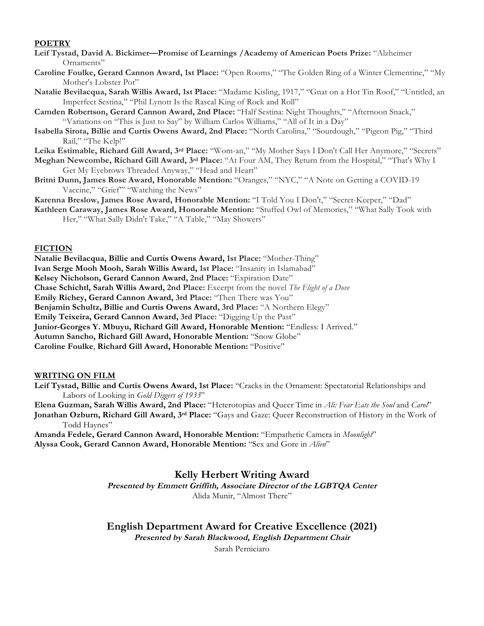### **POETRY**

- **Leif Tystad, David A. Bickimer—Promise of Learnings /Academy of American Poets Prize:** "Alzheimer Ornaments"
- **Caroline Foulke, Gerard Cannon Award, 1st Place:** "Open Rooms," "The Golden Ring of a Winter Clementine," "My Mother's Lobster Pot"
- **Natalie Bevilacqua, Sarah Willis Award, 1st Place:** "Madame Kisling, 1917," "Gnat on a Hot Tin Roof," "Untitled, an Imperfect Sestina," "Phil Lynott Is the Rascal King of Rock and Roll"
- **Camden Robertson, Gerard Cannon Award, 2nd Place:** "Half Sestina: Night Thoughts," "Afternoon Snack," "Variations on "This is Just to Say" by William Carlos Williams," "All of It in a Day"
- **Isabella Sirota, Billie and Curtis Owens Award, 2nd Place:** "North Carolina," "Sourdough," "Pigeon Pig," "Third Rail," "The Kelp!"

**Leika Estimable, Richard Gill Award, 3rd Place:** "Wom-an," "My Mother Says I Don't Call Her Anymore," "Secrets"

- **Meghan Newcombe, Richard Gill Award, 3rd Place:** "At Four AM, They Return from the Hospital," "That's Why I Get My Eyebrows Threaded Anyway," "Head and Heart"
- **Britni Dunn, James Rose Award, Honorable Mention:** "Oranges," "NYC," "A Note on Getting a COVID-19 Vaccine," "Grief" "Watching the News"

**Karenna Breslow, James Rose Award, Honorable Mention:** "I Told You I Don't," "Secret-Keeper," "Dad"

**Kathleen Caraway, James Rose Award, Honorable Mention:** "Stuffed Owl of Memories," "What Sally Took with Her," "What Sally Didn't Take," "A Table," "May Showers"

### **FICTION**

**Natalie Bevilacqua, Billie and Curtis Owens Award, 1st Place:** "Mother-Thing" **Ivan Serge Mooh Mooh, Sarah Willis Award, 1st Place:** "Insanity in Islamabad" **Kelsey Nicholson, Gerard Cannon Award, 2nd Place:** "Expiration Date" **Chase Schichtl, Sarah Willis Award, 2nd Place:** Excerpt from the novel *The Flight of a Dove* **Emily Richey, Gerard Cannon Award, 3rd Place:** "Then There was You" **Benjamin Schultz, Billie and Curtis Owens Award, 3rd Place:** "A Northern Elegy" **Emily Teixeira, Gerard Cannon Award, 3rd Place:** "Digging Up the Past" **Junior-Georges Y. Mbuyu, Richard Gill Award, Honorable Mention:** "Endless: I Arrived." **Autumn Sancho, Richard Gill Award, Honorable Mention:** "Snow Globe" **Caroline Foulke**, **Richard Gill Award, Honorable Mention:** "Positive"

### **WRITING ON FILM**

**Leif Tystad, Billie and Curtis Owens Award, 1st Place:** "Cracks in the Ornament: Spectatorial Relationships and Labors of Looking in *Gold Diggers of 1933*"

**Elena Guzman, Sarah Willis Award, 2nd Place:** "Heterotopias and Queer Time in *Ali: Fear Eats the Soul* and *Carol*" **Jonathan Ozburn, Richard Gill Award, 3rd Place:** "Gays and Gaze: Queer Reconstruction of History in the Work of

Todd Haynes"

**Amanda Fedele, Gerard Cannon Award, Honorable Mention:** "Empathetic Camera in *Moonlight*" **Alyssa Cook, Gerard Cannon Award, Honorable Mention:** "Sex and Gore in *Alien*"

### **Kelly Herbert Writing Award**

**Presented by Emmett Griffith, Associate Director of the LGBTQA Center** Alida Munir, "Almost There"

### **English Department Award for Creative Excellence (2021)**

**Presented by Sarah Blackwood, English Department Chair** 

Sarah Perniciaro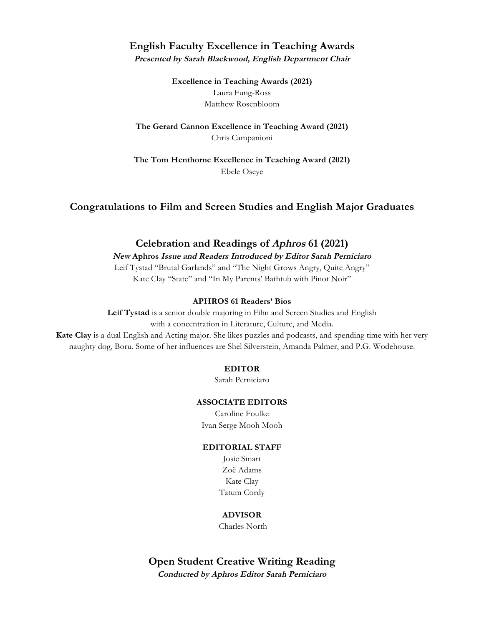### **English Faculty Excellence in Teaching Awards**

**Presented by Sarah Blackwood, English Department Chair** 

**Excellence in Teaching Awards (2021)** Laura Fung-Ross Matthew Rosenbloom

**The Gerard Cannon Excellence in Teaching Award (2021)** Chris Campanioni

**The Tom Henthorne Excellence in Teaching Award (2021)** Ebele Oseye

**Congratulations to Film and Screen Studies and English Major Graduates**

### **Celebration and Readings of Aphros 61 (2021)**

**New Aphros Issue and Readers Introduced by Editor Sarah Perniciaro** 

Leif Tystad "Brutal Garlands" and "The Night Grows Angry, Quite Angry" Kate Clay "State" and "In My Parents' Bathtub with Pinot Noir"

### **APHROS 61 Readers' Bios**

**Leif Tystad** is a senior double majoring in Film and Screen Studies and English with a concentration in Literature, Culture, and Media.

**Kate Clay** is a dual English and Acting major. She likes puzzles and podcasts, and spending time with her very naughty dog, Boru. Some of her influences are Shel Silverstein, Amanda Palmer, and P.G. Wodehouse.

### **EDITOR**

Sarah Perniciaro

#### **ASSOCIATE EDITORS**

Caroline Foulke Ivan Serge Mooh Mooh

#### **EDITORIAL STAFF**

Josie Smart Zoë Adams Kate Clay Tatum Cordy

### **ADVISOR**

Charles North

**Open Student Creative Writing Reading Conducted by Aphros Editor Sarah Perniciaro**